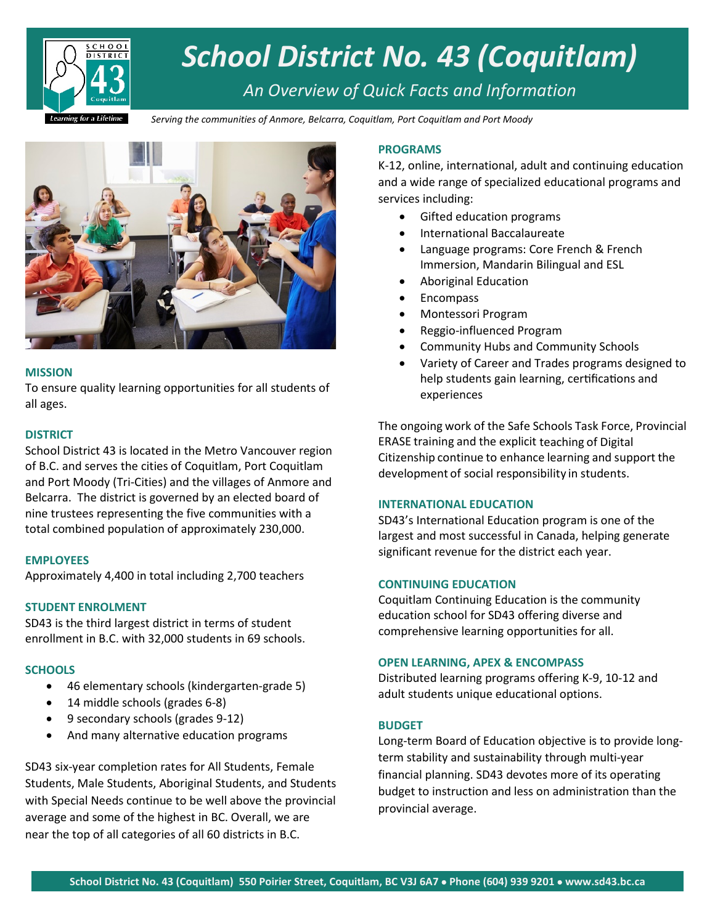

# *School District No. 43 (Coquitlam)*

# *An Overview of Quick Facts and Information*

*Serving the communities of Anmore, Belcarra, Coquitlam, Port Coquitlam and Port Moody*



#### **MISSION**

To ensure quality learning opportunities for all students of all ages.

#### **DISTRICT**

School District 43 is located in the Metro Vancouver region of B.C. and serves the cities of Coquitlam, Port Coquitlam and Port Moody (Tri-Cities) and the villages of Anmore and Belcarra. The district is governed by an elected board of nine trustees representing the five communities with a total combined population of approximately 230,000.

#### **EMPLOYEES**

Approximately 4,400 in total including 2,700 teachers

# **STUDENT ENROLMENT**

SD43 is the third largest district in terms of student enrollment in B.C. with 32,000 students in 69 schools.

# **SCHOOLS**

- 46 elementary schools (kindergarten-grade 5)
- 14 middle schools (grades 6-8)
- 9 secondary schools (grades 9-12)
- And many alternative education programs

SD43 six-year completion rates for All Students, Female Students, Male Students, Aboriginal Students, and Students with Special Needs continue to be well above the provincial average and some of the highest in BC. Overall, we are near the top of all categories of all 60 districts in B.C.

### **PROGRAMS**

K-12, online, international, adult and continuing education and a wide range of specialized educational programs and services including:

- Gifted education programs
- International Baccalaureate
- Language programs: Core French & French Immersion, Mandarin Bilingual and ESL
- Aboriginal Education
- Encompass
- Montessori Program
- Reggio-influenced Program
- Community Hubs and Community Schools
- Variety of Career and Trades programs designed to help students gain learning, certifications and experiences

The ongoing work of the Safe Schools Task Force, Provincial ERASE training and the explicit teaching of Digital Citizenship continue to enhance learning and support the development of social responsibility in students.

#### **INTERNATIONAL EDUCATION**

SD43's International Education program is one of the largest and most successful in Canada, helping generate significant revenue for the district each year.

#### **CONTINUING EDUCATION**

Coquitlam Continuing Education is the community education school for SD43 offering diverse and comprehensive learning opportunities for all.

#### **OPEN LEARNING, APEX & ENCOMPASS**

Distributed learning programs offering K-9, 10-12 and adult students unique educational options.

#### **BUDGET**

Long-term Board of Education objective is to provide longterm stability and sustainability through multi-year financial planning. SD43 devotes more of its operating budget to instruction and less on administration than the provincial average.